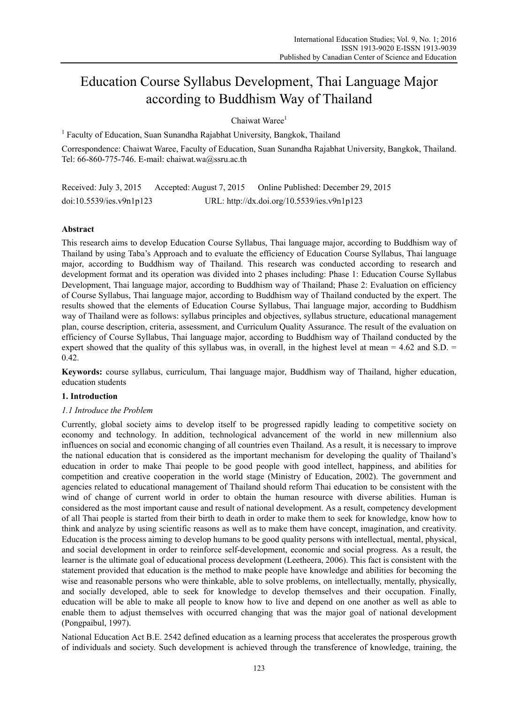# Education Course Syllabus Development, Thai Language Major according to Buddhism Way of Thailand

 $Chaiwat Ware<sup>1</sup>$ 

<sup>1</sup> Faculty of Education, Suan Sunandha Rajabhat University, Bangkok, Thailand

Correspondence: Chaiwat Waree, Faculty of Education, Suan Sunandha Rajabhat University, Bangkok, Thailand. Tel: 66-860-775-746. E-mail: chaiwat.wa@ssru.ac.th

Received: July 3, 2015 Accepted: August 7, 2015 Online Published: December 29, 2015 doi:10.5539/ies.v9n1p123 URL: http://dx.doi.org/10.5539/ies.v9n1p123

# **Abstract**

This research aims to develop Education Course Syllabus, Thai language major, according to Buddhism way of Thailand by using Taba's Approach and to evaluate the efficiency of Education Course Syllabus, Thai language major, according to Buddhism way of Thailand. This research was conducted according to research and development format and its operation was divided into 2 phases including: Phase 1: Education Course Syllabus Development, Thai language major, according to Buddhism way of Thailand; Phase 2: Evaluation on efficiency of Course Syllabus, Thai language major, according to Buddhism way of Thailand conducted by the expert. The results showed that the elements of Education Course Syllabus, Thai language major, according to Buddhism way of Thailand were as follows: syllabus principles and objectives, syllabus structure, educational management plan, course description, criteria, assessment, and Curriculum Quality Assurance. The result of the evaluation on efficiency of Course Syllabus, Thai language major, according to Buddhism way of Thailand conducted by the expert showed that the quality of this syllabus was, in overall, in the highest level at mean  $= 4.62$  and S.D.  $=$ 0.42.

**Keywords:** course syllabus, curriculum, Thai language major, Buddhism way of Thailand, higher education, education students

## **1. Introduction**

## *1.1 Introduce the Problem*

Currently, global society aims to develop itself to be progressed rapidly leading to competitive society on economy and technology. In addition, technological advancement of the world in new millennium also influences on social and economic changing of all countries even Thailand. As a result, it is necessary to improve the national education that is considered as the important mechanism for developing the quality of Thailand's education in order to make Thai people to be good people with good intellect, happiness, and abilities for competition and creative cooperation in the world stage (Ministry of Education, 2002). The government and agencies related to educational management of Thailand should reform Thai education to be consistent with the wind of change of current world in order to obtain the human resource with diverse abilities. Human is considered as the most important cause and result of national development. As a result, competency development of all Thai people is started from their birth to death in order to make them to seek for knowledge, know how to think and analyze by using scientific reasons as well as to make them have concept, imagination, and creativity. Education is the process aiming to develop humans to be good quality persons with intellectual, mental, physical, and social development in order to reinforce self-development, economic and social progress. As a result, the learner is the ultimate goal of educational process development (Leetheera, 2006). This fact is consistent with the statement provided that education is the method to make people have knowledge and abilities for becoming the wise and reasonable persons who were thinkable, able to solve problems, on intellectually, mentally, physically, and socially developed, able to seek for knowledge to develop themselves and their occupation. Finally, education will be able to make all people to know how to live and depend on one another as well as able to enable them to adjust themselves with occurred changing that was the major goal of national development (Pongpaibul, 1997).

National Education Act B.E. 2542 defined education as a learning process that accelerates the prosperous growth of individuals and society. Such development is achieved through the transference of knowledge, training, the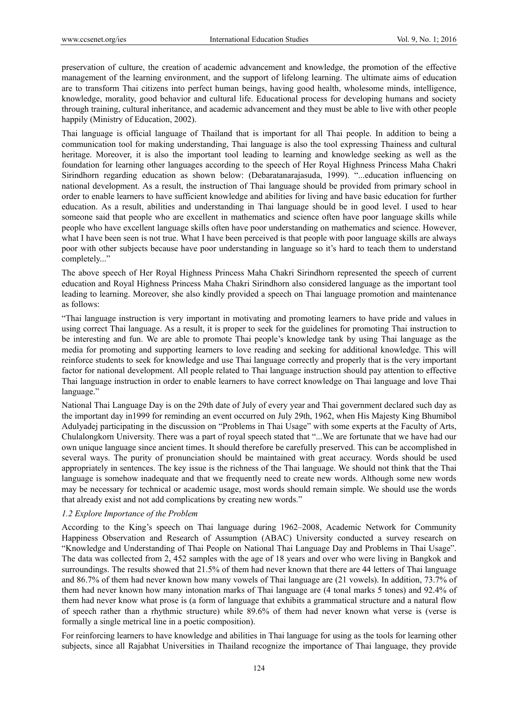preservation of culture, the creation of academic advancement and knowledge, the promotion of the effective management of the learning environment, and the support of lifelong learning. The ultimate aims of education are to transform Thai citizens into perfect human beings, having good health, wholesome minds, intelligence, knowledge, morality, good behavior and cultural life. Educational process for developing humans and society through training, cultural inheritance, and academic advancement and they must be able to live with other people happily (Ministry of Education, 2002).

Thai language is official language of Thailand that is important for all Thai people. In addition to being a communication tool for making understanding, Thai language is also the tool expressing Thainess and cultural heritage. Moreover, it is also the important tool leading to learning and knowledge seeking as well as the foundation for learning other languages according to the speech of Her Royal Highness Princess Maha Chakri Sirindhorn regarding education as shown below: (Debaratanarajasuda, 1999). "...education influencing on national development. As a result, the instruction of Thai language should be provided from primary school in order to enable learners to have sufficient knowledge and abilities for living and have basic education for further education. As a result, abilities and understanding in Thai language should be in good level. I used to hear someone said that people who are excellent in mathematics and science often have poor language skills while people who have excellent language skills often have poor understanding on mathematics and science. However, what I have been seen is not true. What I have been perceived is that people with poor language skills are always poor with other subjects because have poor understanding in language so it's hard to teach them to understand completely..."

The above speech of Her Royal Highness Princess Maha Chakri Sirindhorn represented the speech of current education and Royal Highness Princess Maha Chakri Sirindhorn also considered language as the important tool leading to learning. Moreover, she also kindly provided a speech on Thai language promotion and maintenance as follows:

"Thai language instruction is very important in motivating and promoting learners to have pride and values in using correct Thai language. As a result, it is proper to seek for the guidelines for promoting Thai instruction to be interesting and fun. We are able to promote Thai people's knowledge tank by using Thai language as the media for promoting and supporting learners to love reading and seeking for additional knowledge. This will reinforce students to seek for knowledge and use Thai language correctly and properly that is the very important factor for national development. All people related to Thai language instruction should pay attention to effective Thai language instruction in order to enable learners to have correct knowledge on Thai language and love Thai language."

National Thai Language Day is on the 29th date of July of every year and Thai government declared such day as the important day in1999 for reminding an event occurred on July 29th, 1962, when His Majesty King Bhumibol Adulyadej participating in the discussion on "Problems in Thai Usage" with some experts at the Faculty of Arts, Chulalongkorn University. There was a part of royal speech stated that "...We are fortunate that we have had our own unique language since ancient times. It should therefore be carefully preserved. This can be accomplished in several ways. The purity of pronunciation should be maintained with great accuracy. Words should be used appropriately in sentences. The key issue is the richness of the Thai language. We should not think that the Thai language is somehow inadequate and that we frequently need to create new words. Although some new words may be necessary for technical or academic usage, most words should remain simple. We should use the words that already exist and not add complications by creating new words."

## *1.2 Explore Importance of the Problem*

According to the King's speech on Thai language during 1962–2008, Academic Network for Community Happiness Observation and Research of Assumption (ABAC) University conducted a survey research on "Knowledge and Understanding of Thai People on National Thai Language Day and Problems in Thai Usage". The data was collected from 2, 452 samples with the age of 18 years and over who were living in Bangkok and surroundings. The results showed that 21.5% of them had never known that there are 44 letters of Thai language and 86.7% of them had never known how many vowels of Thai language are (21 vowels). In addition, 73.7% of them had never known how many intonation marks of Thai language are (4 tonal marks 5 tones) and 92.4% of them had never know what prose is (a form of language that exhibits a grammatical structure and a natural flow of speech rather than a rhythmic structure) while 89.6% of them had never known what verse is (verse is formally a single metrical line in a poetic composition).

For reinforcing learners to have knowledge and abilities in Thai language for using as the tools for learning other subjects, since all Rajabhat Universities in Thailand recognize the importance of Thai language, they provide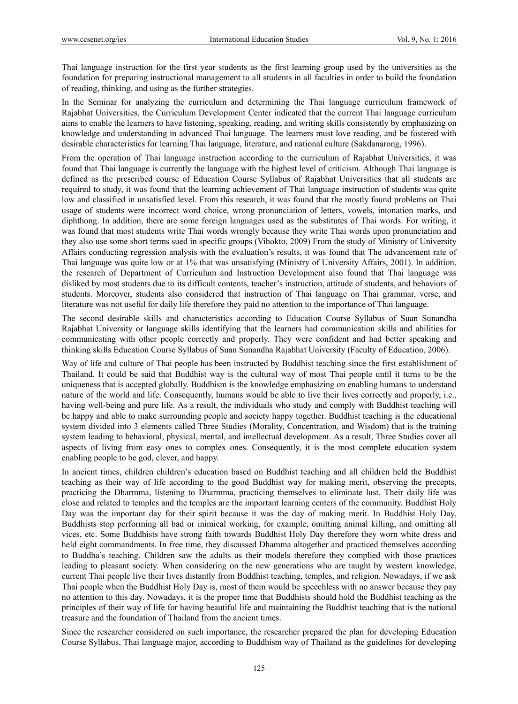Thai language instruction for the first year students as the first learning group used by the universities as the foundation for preparing instructional management to all students in all faculties in order to build the foundation of reading, thinking, and using as the further strategies.

In the Seminar for analyzing the curriculum and determining the Thai language curriculum framework of Rajabhat Universities, the Curriculum Development Center indicated that the current Thai language curriculum aims to enable the learners to have listening, speaking, reading, and writing skills consistently by emphasizing on knowledge and understanding in advanced Thai language. The learners must love reading, and be fostered with desirable characteristics for learning Thai language, literature, and national culture (Sakdanarong, 1996).

From the operation of Thai language instruction according to the curriculum of Rajabhat Universities, it was found that Thai language is currently the language with the highest level of criticism. Although Thai language is defined as the prescribed course of Education Course Syllabus of Rajabhat Universities that all students are required to study, it was found that the learning achievement of Thai language instruction of students was quite low and classified in unsatisfied level. From this research, it was found that the mostly found problems on Thai usage of students were incorrect word choice, wrong pronunciation of letters, vowels, intonation marks, and diphthong. In addition, there are some foreign languages used as the substitutes of Thai words. For writing, it was found that most students write Thai words wrongly because they write Thai words upon pronunciation and they also use some short terms sued in specific groups (Vihokto, 2009) From the study of Ministry of University Affairs conducting regression analysis with the evaluation's results, it was found that The advancement rate of Thai language was quite low or at 1% that was unsatisfying (Ministry of University Affairs, 2001). In addition, the research of Department of Curriculum and Instruction Development also found that Thai language was disliked by most students due to its difficult contents, teacher's instruction, attitude of students, and behaviors of students. Moreover, students also considered that instruction of Thai language on Thai grammar, verse, and literature was not useful for daily life therefore they paid no attention to the importance of Thai language.

The second desirable skills and characteristics according to Education Course Syllabus of Suan Sunandha Rajabhat University or language skills identifying that the learners had communication skills and abilities for communicating with other people correctly and properly. They were confident and had better speaking and thinking skills Education Course Syllabus of Suan Sunandha Rajabhat University (Faculty of Education, 2006).

Way of life and culture of Thai people has been instructed by Buddhist teaching since the first establishment of Thailand. It could be said that Buddhist way is the cultural way of most Thai people until it turns to be the uniqueness that is accepted globally. Buddhism is the knowledge emphasizing on enabling humans to understand nature of the world and life. Consequently, humans would be able to live their lives correctly and properly, i.e., having well-being and pure life. As a result, the individuals who study and comply with Buddhist teaching will be happy and able to make surrounding people and society happy together. Buddhist teaching is the educational system divided into 3 elements called Three Studies (Morality, Concentration, and Wisdom) that is the training system leading to behavioral, physical, mental, and intellectual development. As a result, Three Studies cover all aspects of living from easy ones to complex ones. Consequently, it is the most complete education system enabling people to be god, clever, and happy.

In ancient times, children children's education based on Buddhist teaching and all children held the Buddhist teaching as their way of life according to the good Buddhist way for making merit, observing the precepts, practicing the Dharmma, listening to Dharmma, practicing themselves to eliminate lust. Their daily life was close and related to temples and the temples are the important learning centers of the community. Buddhist Holy Day was the important day for their spirit because it was the day of making merit. In Buddhist Holy Day, Buddhists stop performing all bad or inimical working, for example, omitting animal killing, and omitting all vices, etc. Some Buddhists have strong faith towards Buddhist Holy Day therefore they worn white dress and held eight commandments. In free time, they discussed Dhamma altogether and practiced themselves according to Buddha's teaching. Children saw the adults as their models therefore they complied with those practices leading to pleasant society. When considering on the new generations who are taught by western knowledge, current Thai people live their lives distantly from Buddhist teaching, temples, and religion. Nowadays, if we ask Thai people when the Buddhist Holy Day is, most of them would be speechless with no answer because they pay no attention to this day. Nowadays, it is the proper time that Buddhists should hold the Buddhist teaching as the principles of their way of life for having beautiful life and maintaining the Buddhist teaching that is the national treasure and the foundation of Thailand from the ancient times.

Since the researcher considered on such importance, the researcher prepared the plan for developing Education Course Syllabus, Thai language major, according to Buddhism way of Thailand as the guidelines for developing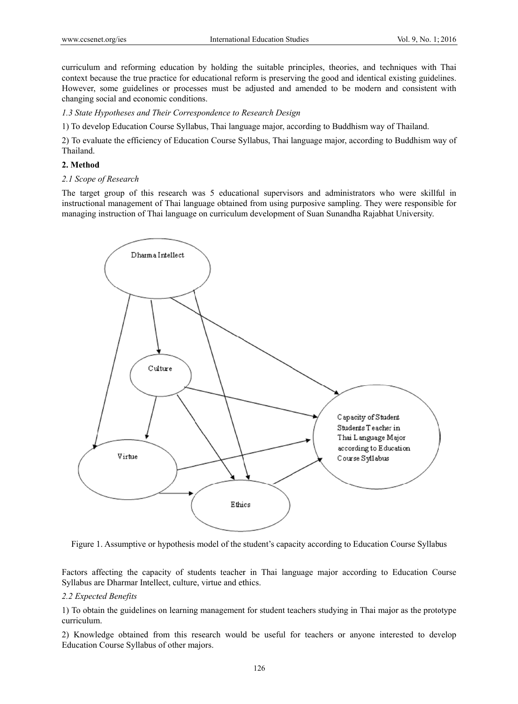curriculum and reforming education by holding the suitable principles, theories, and techniques with Thai context because the true practice for educational reform is preserving the good and identical existing guidelines. However, some guidelines or processes must be adjusted and amended to be modern and consistent with changing social and economic conditions.

1.3 State Hypotheses and Their Correspondence to Research Design

1) To develop Education Course Syllabus, Thai language major, according to Buddhism way of Thailand.

2) To evaluate the efficiency of Education Course Syllabus, Thai language major, according to Buddhism way of Thailand.

#### **2. Method d**

## *2.1 Scope of Research*

The target group of this research was 5 educational supervisors and administrators who were skillful in instructional management of Thai language obtained from using purposive sampling. They were responsible for managing instruction of Thai language on curriculum development of Suan Sunandha Rajabhat University.



Figure 1. Assumptive or hypothesis model of the student's capacity according to Education Course Syllabus

Factors affecting the capacity of students teacher in Thai language major according to Education Course Syllabus are Dharmar Intellect, culture, virtue and ethics.

## 2.2 Expected Benefits

1) To obtain the guidelines on learning management for student teachers studying in Thai major as the prototype curriculum m.

2) Knowledge obtained from this research would be useful for teachers or anyone interested to develop Education Course Syllabus of other majors.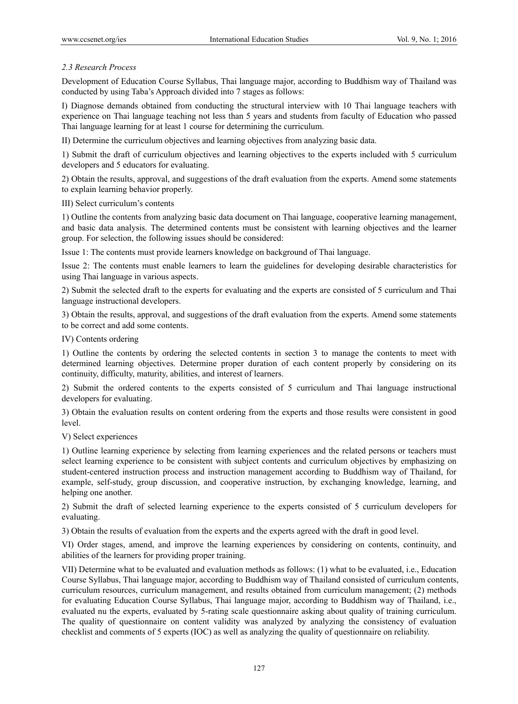# *2.3 Research Process*

Development of Education Course Syllabus, Thai language major, according to Buddhism way of Thailand was conducted by using Taba's Approach divided into 7 stages as follows:

I) Diagnose demands obtained from conducting the structural interview with 10 Thai language teachers with experience on Thai language teaching not less than 5 years and students from faculty of Education who passed Thai language learning for at least 1 course for determining the curriculum.

II) Determine the curriculum objectives and learning objectives from analyzing basic data.

1) Submit the draft of curriculum objectives and learning objectives to the experts included with 5 curriculum developers and 5 educators for evaluating.

2) Obtain the results, approval, and suggestions of the draft evaluation from the experts. Amend some statements to explain learning behavior properly.

III) Select curriculum's contents

1) Outline the contents from analyzing basic data document on Thai language, cooperative learning management, and basic data analysis. The determined contents must be consistent with learning objectives and the learner group. For selection, the following issues should be considered:

Issue 1: The contents must provide learners knowledge on background of Thai language.

Issue 2: The contents must enable learners to learn the guidelines for developing desirable characteristics for using Thai language in various aspects.

2) Submit the selected draft to the experts for evaluating and the experts are consisted of 5 curriculum and Thai language instructional developers.

3) Obtain the results, approval, and suggestions of the draft evaluation from the experts. Amend some statements to be correct and add some contents.

IV) Contents ordering

1) Outline the contents by ordering the selected contents in section 3 to manage the contents to meet with determined learning objectives. Determine proper duration of each content properly by considering on its continuity, difficulty, maturity, abilities, and interest of learners.

2) Submit the ordered contents to the experts consisted of 5 curriculum and Thai language instructional developers for evaluating.

3) Obtain the evaluation results on content ordering from the experts and those results were consistent in good level.

V) Select experiences

1) Outline learning experience by selecting from learning experiences and the related persons or teachers must select learning experience to be consistent with subject contents and curriculum objectives by emphasizing on student-centered instruction process and instruction management according to Buddhism way of Thailand, for example, self-study, group discussion, and cooperative instruction, by exchanging knowledge, learning, and helping one another.

2) Submit the draft of selected learning experience to the experts consisted of 5 curriculum developers for evaluating.

3) Obtain the results of evaluation from the experts and the experts agreed with the draft in good level.

VI) Order stages, amend, and improve the learning experiences by considering on contents, continuity, and abilities of the learners for providing proper training.

VII) Determine what to be evaluated and evaluation methods as follows: (1) what to be evaluated, i.e., Education Course Syllabus, Thai language major, according to Buddhism way of Thailand consisted of curriculum contents, curriculum resources, curriculum management, and results obtained from curriculum management; (2) methods for evaluating Education Course Syllabus, Thai language major, according to Buddhism way of Thailand, i.e., evaluated nu the experts, evaluated by 5-rating scale questionnaire asking about quality of training curriculum. The quality of questionnaire on content validity was analyzed by analyzing the consistency of evaluation checklist and comments of 5 experts (IOC) as well as analyzing the quality of questionnaire on reliability.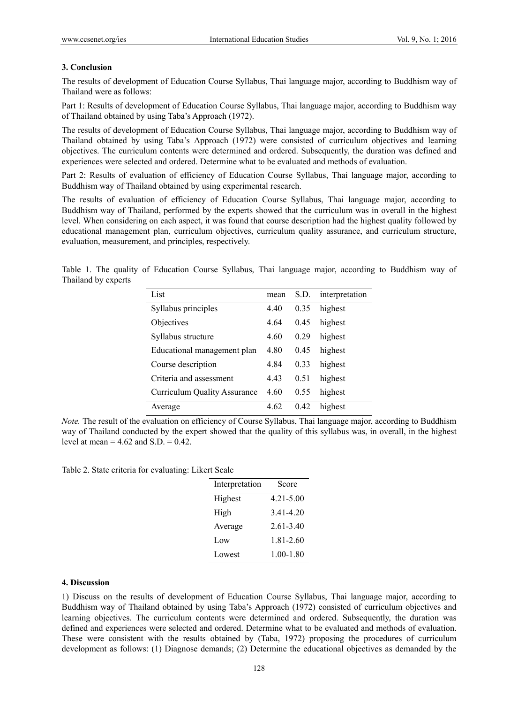## **3. Conclusion**

The results of development of Education Course Syllabus, Thai language major, according to Buddhism way of Thailand were as follows:

Part 1: Results of development of Education Course Syllabus, Thai language major, according to Buddhism way of Thailand obtained by using Taba's Approach (1972).

The results of development of Education Course Syllabus, Thai language major, according to Buddhism way of Thailand obtained by using Taba's Approach (1972) were consisted of curriculum objectives and learning objectives. The curriculum contents were determined and ordered. Subsequently, the duration was defined and experiences were selected and ordered. Determine what to be evaluated and methods of evaluation.

Part 2: Results of evaluation of efficiency of Education Course Syllabus, Thai language major, according to Buddhism way of Thailand obtained by using experimental research.

The results of evaluation of efficiency of Education Course Syllabus, Thai language major, according to Buddhism way of Thailand, performed by the experts showed that the curriculum was in overall in the highest level. When considering on each aspect, it was found that course description had the highest quality followed by educational management plan, curriculum objectives, curriculum quality assurance, and curriculum structure, evaluation, measurement, and principles, respectively.

Table 1. The quality of Education Course Syllabus, Thai language major, according to Buddhism way of Thailand by experts

| List                                | mean | S.D. | interpretation |
|-------------------------------------|------|------|----------------|
| Syllabus principles                 | 4.40 | 0.35 | highest        |
| Objectives                          | 4.64 | 0.45 | highest        |
| Syllabus structure                  | 4.60 | 0.29 | highest        |
| Educational management plan         | 4.80 | 0.45 | highest        |
| Course description                  | 4.84 | 0.33 | highest        |
| Criteria and assessment             | 443  | 0.51 | highest        |
| <b>Curriculum Quality Assurance</b> | 4.60 | 0.55 | highest        |
| Average                             | 4 62 | 0.42 | highest        |

*Note.* The result of the evaluation on efficiency of Course Syllabus, Thai language major, according to Buddhism way of Thailand conducted by the expert showed that the quality of this syllabus was, in overall, in the highest level at mean  $= 4.62$  and  $S.D. = 0.42$ .

Table 2. State criteria for evaluating: Likert Scale

| Interpretation | Score         |
|----------------|---------------|
| Highest        | 4 21 - 5 00   |
| High           | 3.41-4.20     |
| Average        | $261-340$     |
| Low            | $1.81 - 2.60$ |
| Lowest         | $1.00 - 1.80$ |

#### **4. Discussion**

1) Discuss on the results of development of Education Course Syllabus, Thai language major, according to Buddhism way of Thailand obtained by using Taba's Approach (1972) consisted of curriculum objectives and learning objectives. The curriculum contents were determined and ordered. Subsequently, the duration was defined and experiences were selected and ordered. Determine what to be evaluated and methods of evaluation. These were consistent with the results obtained by (Taba, 1972) proposing the procedures of curriculum development as follows: (1) Diagnose demands; (2) Determine the educational objectives as demanded by the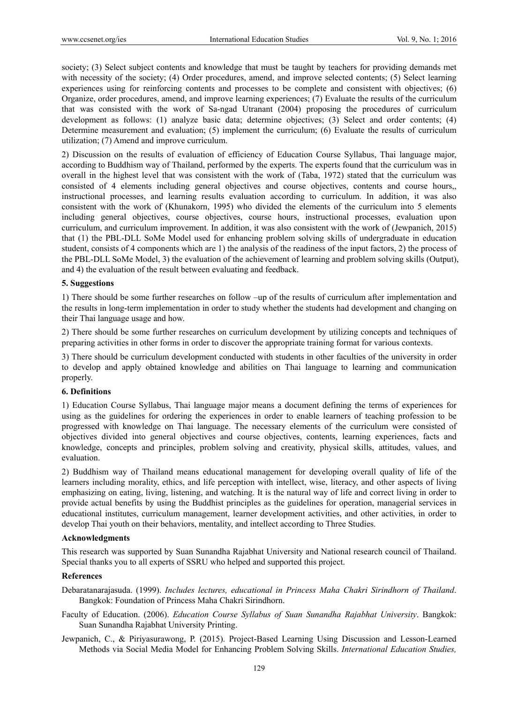society; (3) Select subject contents and knowledge that must be taught by teachers for providing demands met with necessity of the society; (4) Order procedures, amend, and improve selected contents; (5) Select learning experiences using for reinforcing contents and processes to be complete and consistent with objectives; (6) Organize, order procedures, amend, and improve learning experiences; (7) Evaluate the results of the curriculum that was consisted with the work of Sa-ngad Utranant (2004) proposing the procedures of curriculum development as follows: (1) analyze basic data; determine objectives; (3) Select and order contents; (4) Determine measurement and evaluation; (5) implement the curriculum; (6) Evaluate the results of curriculum utilization; (7) Amend and improve curriculum.

2) Discussion on the results of evaluation of efficiency of Education Course Syllabus, Thai language major, according to Buddhism way of Thailand, performed by the experts. The experts found that the curriculum was in overall in the highest level that was consistent with the work of (Taba, 1972) stated that the curriculum was consisted of 4 elements including general objectives and course objectives, contents and course hours,, instructional processes, and learning results evaluation according to curriculum. In addition, it was also consistent with the work of (Khunakorn, 1995) who divided the elements of the curriculum into 5 elements including general objectives, course objectives, course hours, instructional processes, evaluation upon curriculum, and curriculum improvement. In addition, it was also consistent with the work of (Jewpanich, 2015) that (1) the PBL-DLL SoMe Model used for enhancing problem solving skills of undergraduate in education student, consists of 4 components which are 1) the analysis of the readiness of the input factors, 2) the process of the PBL-DLL SoMe Model, 3) the evaluation of the achievement of learning and problem solving skills (Output), and 4) the evaluation of the result between evaluating and feedback.

# **5. Suggestions**

1) There should be some further researches on follow –up of the results of curriculum after implementation and the results in long-term implementation in order to study whether the students had development and changing on their Thai language usage and how.

2) There should be some further researches on curriculum development by utilizing concepts and techniques of preparing activities in other forms in order to discover the appropriate training format for various contexts.

3) There should be curriculum development conducted with students in other faculties of the university in order to develop and apply obtained knowledge and abilities on Thai language to learning and communication properly.

## **6. Definitions**

1) Education Course Syllabus, Thai language major means a document defining the terms of experiences for using as the guidelines for ordering the experiences in order to enable learners of teaching profession to be progressed with knowledge on Thai language. The necessary elements of the curriculum were consisted of objectives divided into general objectives and course objectives, contents, learning experiences, facts and knowledge, concepts and principles, problem solving and creativity, physical skills, attitudes, values, and evaluation.

2) Buddhism way of Thailand means educational management for developing overall quality of life of the learners including morality, ethics, and life perception with intellect, wise, literacy, and other aspects of living emphasizing on eating, living, listening, and watching. It is the natural way of life and correct living in order to provide actual benefits by using the Buddhist principles as the guidelines for operation, managerial services in educational institutes, curriculum management, learner development activities, and other activities, in order to develop Thai youth on their behaviors, mentality, and intellect according to Three Studies.

## **Acknowledgments**

This research was supported by Suan Sunandha Rajabhat University and National research council of Thailand. Special thanks you to all experts of SSRU who helped and supported this project.

## **References**

Debaratanarajasuda. (1999). *Includes lectures, educational in Princess Maha Chakri Sirindhorn of Thailand*. Bangkok: Foundation of Princess Maha Chakri Sirindhorn.

- Faculty of Education. (2006). *Education Course Syllabus of Suan Sunandha Rajabhat University*. Bangkok: Suan Sunandha Rajabhat University Printing.
- Jewpanich, C., & Piriyasurawong, P. (2015). Project-Based Learning Using Discussion and Lesson-Learned Methods via Social Media Model for Enhancing Problem Solving Skills. *International Education Studies,*